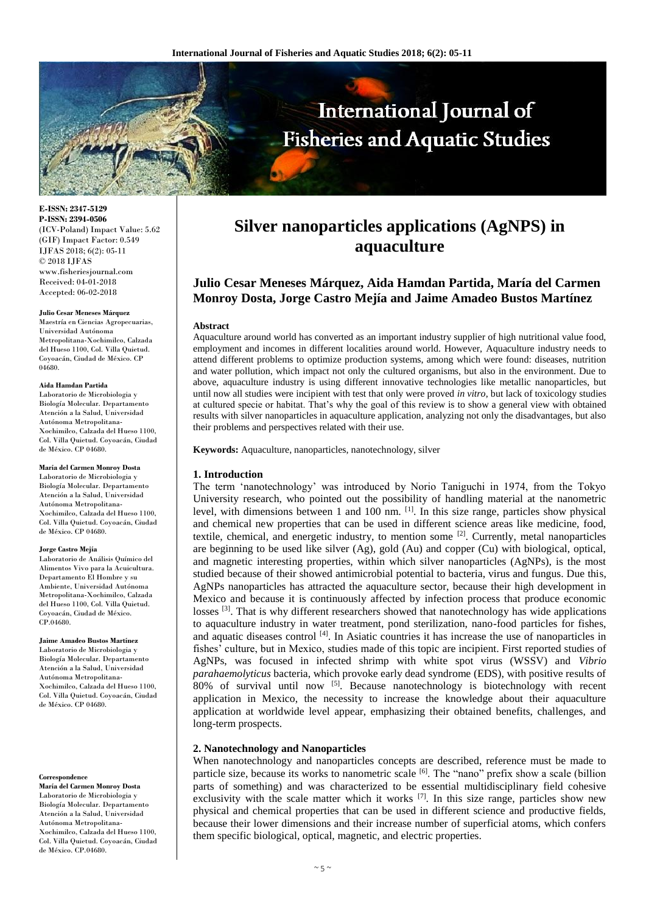

**E-ISSN: 2347-5129 P-ISSN: 2394-0506** (ICV-Poland) Impact Value: 5.62 (GIF) Impact Factor: 0.549 IJFAS 2018; 6(2): 05-11 © 2018 IJFAS www.fisheriesjournal.com Received: 04-01-2018 Accepted: 06-02-2018

#### **Julio Cesar Meneses Márquez**

Maestría en Ciencias Agropecuarias, Universidad Autónoma Metropolitana-Xochimilco, Calzada del Hueso 1100, Col. Villa Quietud. Coyoacán, Ciudad de México. CP 04680.

#### **Aida Hamdan Partida**

Laboratorio de Microbiologia y Biología Molecular. Departamento Atención a la Salud, Universidad Autónoma Metropolitana-Xochimilco, Calzada del Hueso 1100, Col. Villa Quietud. Coyoacán, Ciudad de México. CP 04680.

## **María del Carmen Monroy Dosta**

Laboratorio de Microbiologia y Biología Molecular. Departamento Atención a la Salud, Universidad Autónoma Metropolitana-Xochimilco, Calzada del Hueso 1100, Col. Villa Quietud. Coyoacán, Ciudad de México. CP 04680.

#### **Jorge Castro Mejía**

Laboratorio de Análisis Químico del Alimentos Vivo para la Acuicultura. Departamento El Hombre y su Ambiente, Universidad Autónoma Metropolitana-Xochimilco, Calzada del Hueso 1100, Col. Villa Quietud. Coyoacán, Ciudad de México. CP.04680.

**Jaime Amadeo Bustos Martínez** Laboratorio de Microbiologia y Biología Molecular. Departamento Atención a la Salud, Universidad Autónoma Metropolitana-Xochimilco, Calzada del Hueso 1100, Col. Villa Quietud. Coyoacán, Ciudad de México. CP 04680.

#### **Correspondence**

**María del Carmen Monroy Dosta** Laboratorio de Microbiologia y Biología Molecular. Departamento Atención a la Salud, Universidad Autónoma Metropolitana-Xochimilco, Calzada del Hueso 1100, Col. Villa Quietud. Coyoacán, Ciudad de México. CP.04680.

# **Silver nanoparticles applications (AgNPS) in aquaculture**

# **Julio Cesar Meneses Márquez, Aida Hamdan Partida, María del Carmen Monroy Dosta, Jorge Castro Mejía and Jaime Amadeo Bustos Martínez**

## **Abstract**

Aquaculture around world has converted as an important industry supplier of high nutritional value food, employment and incomes in different localities around world. However, Aquaculture industry needs to attend different problems to optimize production systems, among which were found: diseases, nutrition and water pollution, which impact not only the cultured organisms, but also in the environment. Due to above, aquaculture industry is using different innovative technologies like metallic nanoparticles, but until now all studies were incipient with test that only were proved *in vitro*, but lack of toxicology studies at cultured specie or habitat. That's why the goal of this review is to show a general view with obtained results with silver nanoparticles in aquaculture application, analyzing not only the disadvantages, but also their problems and perspectives related with their use.

**Keywords:** Aquaculture, nanoparticles, nanotechnology, silver

## **1. Introduction**

The term 'nanotechnology' was introduced by Norio Taniguchi in 1974, from the Tokyo University research, who pointed out the possibility of handling material at the nanometric level, with dimensions between 1 and 100 nm. [1]. In this size range, particles show physical and chemical new properties that can be used in different science areas like medicine, food, textile, chemical, and energetic industry, to mention some  $[2]$ . Currently, metal nanoparticles are beginning to be used like silver (Ag), gold (Au) and copper (Cu) with biological, optical, and magnetic interesting properties, within which silver nanoparticles (AgNPs), is the most studied because of their showed antimicrobial potential to bacteria, virus and fungus. Due this, AgNPs nanoparticles has attracted the aquaculture sector, because their high development in Mexico and because it is continuously affected by infection process that produce economic losses <sup>[3]</sup>. That is why different researchers showed that nanotechnology has wide applications to aquaculture industry in water treatment, pond sterilization, nano-food particles for fishes, and aquatic diseases control [4]. In Asiatic countries it has increase the use of nanoparticles in fishes' culture, but in Mexico, studies made of this topic are incipient. First reported studies of AgNPs, was focused in infected shrimp with white spot virus (WSSV) and *Vibrio parahaemolyticus* bacteria, which provoke early dead syndrome (EDS), with positive results of  $80\%$  of survival until now  $\left[5\right]$ . Because nanotechnology is biotechnology with recent application in Mexico, the necessity to increase the knowledge about their aquaculture application at worldwide level appear, emphasizing their obtained benefits, challenges, and long-term prospects.

## **2. Nanotechnology and Nanoparticles**

When nanotechnology and nanoparticles concepts are described, reference must be made to particle size, because its works to nanometric scale [6]. The "nano" prefix show a scale (billion parts of something) and was characterized to be essential multidisciplinary field cohesive exclusivity with the scale matter which it works  $[7]$ . In this size range, particles show new physical and chemical properties that can be used in different science and productive fields, because their lower dimensions and their increase number of superficial atoms, which confers them specific biological, optical, magnetic, and electric properties.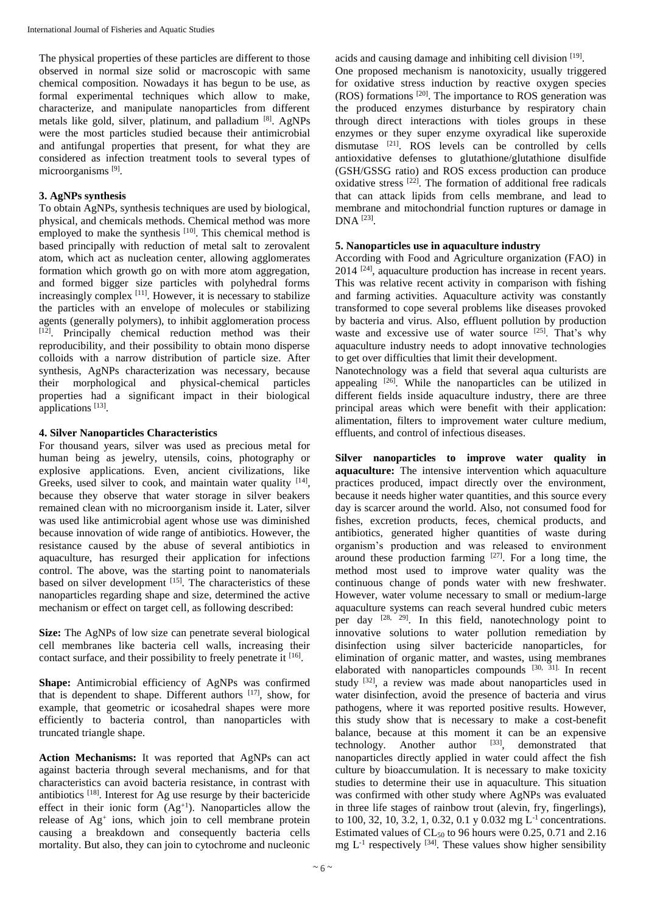The physical properties of these particles are different to those observed in normal size solid or macroscopic with same chemical composition. Nowadays it has begun to be use, as formal experimental techniques which allow to make, characterize, and manipulate nanoparticles from different metals like gold, silver, platinum, and palladium [8]. AgNPs were the most particles studied because their antimicrobial and antifungal properties that present, for what they are considered as infection treatment tools to several types of microorganisms<sup>[9]</sup>.

# **3. AgNPs synthesis**

To obtain AgNPs, synthesis techniques are used by biological, physical, and chemicals methods. Chemical method was more employed to make the synthesis <sup>[10]</sup>. This chemical method is based principally with reduction of metal salt to zerovalent atom, which act as nucleation center, allowing agglomerates formation which growth go on with more atom aggregation, and formed bigger size particles with polyhedral forms increasingly complex [11]. However, it is necessary to stabilize the particles with an envelope of molecules or stabilizing agents (generally polymers), to inhibit agglomeration process [12]. Principally chemical reduction method was their reproducibility, and their possibility to obtain mono disperse colloids with a narrow distribution of particle size. After synthesis, AgNPs characterization was necessary, because their morphological and physical-chemical particles properties had a significant impact in their biological applications<sup>[13]</sup>.

## **4. Silver Nanoparticles Characteristics**

For thousand years, silver was used as precious metal for human being as jewelry, utensils, coins, photography or explosive applications. Even, ancient civilizations, like Greeks, used silver to cook, and maintain water quality [14], because they observe that water storage in silver beakers remained clean with no microorganism inside it. Later, silver was used like antimicrobial agent whose use was diminished because innovation of wide range of antibiotics. However, the resistance caused by the abuse of several antibiotics in aquaculture, has resurged their application for infections control. The above, was the starting point to nanomaterials based on silver development [15]. The characteristics of these nanoparticles regarding shape and size, determined the active mechanism or effect on target cell, as following described:

**Size:** The AgNPs of low size can penetrate several biological cell membranes like bacteria cell walls, increasing their contact surface, and their possibility to freely penetrate it [16].

**Shape:** Antimicrobial efficiency of AgNPs was confirmed that is dependent to shape. Different authors  $[17]$ , show, for example, that geometric or icosahedral shapes were more efficiently to bacteria control, than nanoparticles with truncated triangle shape.

**Action Mechanisms:** It was reported that AgNPs can act against bacteria through several mechanisms, and for that characteristics can avoid bacteria resistance, in contrast with antibiotics [18]. Interest for Ag use resurge by their bactericide effect in their ionic form  $(Ag<sup>+1</sup>)$ . Nanoparticles allow the release of Ag<sup>+</sup> ions, which join to cell membrane protein causing a breakdown and consequently bacteria cells mortality. But also, they can join to cytochrome and nucleonic

acids and causing damage and inhibiting cell division [19].

One proposed mechanism is nanotoxicity, usually triggered for oxidative stress induction by reactive oxygen species  $(ROS)$  formations  $[20]$ . The importance to ROS generation was the produced enzymes disturbance by respiratory chain through direct interactions with tioles groups in these enzymes or they super enzyme oxyradical like superoxide dismutase  $[21]$ . ROS levels can be controlled by cells antioxidative defenses to glutathione/glutathione disulfide (GSH/GSSG ratio) and ROS excess production can produce oxidative stress [22]. The formation of additional free radicals that can attack lipids from cells membrane, and lead to membrane and mitochondrial function ruptures or damage in DNA [23] .

# **5. Nanoparticles use in aquaculture industry**

According with Food and Agriculture organization (FAO) in  $2014$   $[24]$ , aquaculture production has increase in recent years. This was relative recent activity in comparison with fishing and farming activities. Aquaculture activity was constantly transformed to cope several problems like diseases provoked by bacteria and virus. Also, effluent pollution by production waste and excessive use of water source <sup>[25]</sup>. That's why aquaculture industry needs to adopt innovative technologies to get over difficulties that limit their development.

Nanotechnology was a field that several aqua culturists are appealing  $[26]$ . While the nanoparticles can be utilized in different fields inside aquaculture industry, there are three principal areas which were benefit with their application: alimentation, filters to improvement water culture medium, effluents, and control of infectious diseases.

**Silver nanoparticles to improve water quality in aquaculture:** The intensive intervention which aquaculture practices produced, impact directly over the environment, because it needs higher water quantities, and this source every day is scarcer around the world. Also, not consumed food for fishes, excretion products, feces, chemical products, and antibiotics, generated higher quantities of waste during organism's production and was released to environment around these production farming  $[27]$ . For a long time, the method most used to improve water quality was the continuous change of ponds water with new freshwater. However, water volume necessary to small or medium-large aquaculture systems can reach several hundred cubic meters per day <sup>[28, 29]</sup>. In this field, nanotechnology point to innovative solutions to water pollution remediation by disinfection using silver bactericide nanoparticles, for elimination of organic matter, and wastes, using membranes elaborated with nanoparticles compounds  $[30, 31]$ . In recent study <sup>[32]</sup>, a review was made about nanoparticles used in water disinfection, avoid the presence of bacteria and virus pathogens, where it was reported positive results. However, this study show that is necessary to make a cost-benefit balance, because at this moment it can be an expensive technology. Another author <sup>[33]</sup>, demonstrated that nanoparticles directly applied in water could affect the fish culture by bioaccumulation. It is necessary to make toxicity studies to determine their use in aquaculture. This situation was confirmed with other study where AgNPs was evaluated in three life stages of rainbow trout (alevin, fry, fingerlings), to 100, 32, 10, 3.2, 1, 0.32, 0.1 y 0.032 mg L-1 concentrations. Estimated values of  $CL_{50}$  to 96 hours were 0.25, 0.71 and 2.16 mg  $L^{-1}$  respectively <sup>[34]</sup>. These values show higher sensibility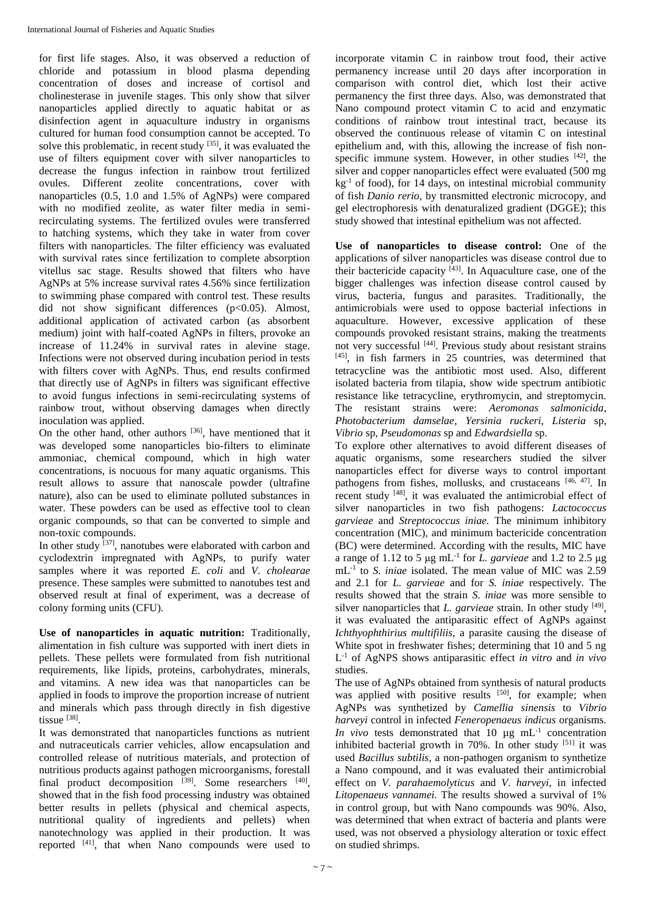for first life stages. Also, it was observed a reduction of chloride and potassium in blood plasma depending concentration of doses and increase of cortisol and cholinesterase in juvenile stages. This only show that silver nanoparticles applied directly to aquatic habitat or as disinfection agent in aquaculture industry in organisms cultured for human food consumption cannot be accepted. To solve this problematic, in recent study  $[35]$ , it was evaluated the use of filters equipment cover with silver nanoparticles to decrease the fungus infection in rainbow trout fertilized ovules. Different zeolite concentrations, cover with nanoparticles (0.5, 1.0 and 1.5% of AgNPs) were compared with no modified zeolite, as water filter media in semirecirculating systems. The fertilized ovules were transferred to hatching systems, which they take in water from cover filters with nanoparticles. The filter efficiency was evaluated with survival rates since fertilization to complete absorption vitellus sac stage. Results showed that filters who have AgNPs at 5% increase survival rates 4.56% since fertilization to swimming phase compared with control test. These results did not show significant differences  $(p<0.05)$ . Almost, additional application of activated carbon (as absorbent medium) joint with half-coated AgNPs in filters, provoke an increase of 11.24% in survival rates in alevine stage. Infections were not observed during incubation period in tests with filters cover with AgNPs. Thus, end results confirmed that directly use of AgNPs in filters was significant effective to avoid fungus infections in semi-recirculating systems of rainbow trout, without observing damages when directly inoculation was applied.

On the other hand, other authors <sup>[36]</sup>, have mentioned that it was developed some nanoparticles bio-filters to eliminate ammoniac, chemical compound, which in high water concentrations, is nocuous for many aquatic organisms. This result allows to assure that nanoscale powder (ultrafine nature), also can be used to eliminate polluted substances in water. These powders can be used as effective tool to clean organic compounds, so that can be converted to simple and non-toxic compounds.

In other study  $^{[37]}$ , nanotubes were elaborated with carbon and cyclodextrin impregnated with AgNPs, to purify water samples where it was reported *E. coli* and *V. cholearae*  presence. These samples were submitted to nanotubes test and observed result at final of experiment, was a decrease of colony forming units (CFU).

**Use of nanoparticles in aquatic nutrition:** Traditionally, alimentation in fish culture was supported with inert diets in pellets. These pellets were formulated from fish nutritional requirements, like lipids, proteins, carbohydrates, minerals, and vitamins. A new idea was that nanoparticles can be applied in foods to improve the proportion increase of nutrient and minerals which pass through directly in fish digestive tissue [38].

It was demonstrated that nanoparticles functions as nutrient and nutraceuticals carrier vehicles, allow encapsulation and controlled release of nutritious materials, and protection of nutritious products against pathogen microorganisms, forestall final product decomposition  $[39]$ . Some researchers  $[40]$ , showed that in the fish food processing industry was obtained better results in pellets (physical and chemical aspects, nutritional quality of ingredients and pellets) when nanotechnology was applied in their production. It was reported [41], that when Nano compounds were used to

incorporate vitamin C in rainbow trout food, their active permanency increase until 20 days after incorporation in comparison with control diet, which lost their active permanency the first three days. Also, was demonstrated that Nano compound protect vitamin C to acid and enzymatic conditions of rainbow trout intestinal tract, because its observed the continuous release of vitamin C on intestinal epithelium and, with this, allowing the increase of fish nonspecific immune system. However, in other studies  $[42]$ , the silver and copper nanoparticles effect were evaluated (500 mg  $kg<sup>-1</sup>$  of food), for 14 days, on intestinal microbial community of fish *Danio rerio,* by transmitted electronic microcopy, and gel electrophoresis with denaturalized gradient (DGGE); this study showed that intestinal epithelium was not affected.

**Use of nanoparticles to disease control:** One of the applications of silver nanoparticles was disease control due to their bactericide capacity  $[43]$ . In Aquaculture case, one of the bigger challenges was infection disease control caused by virus, bacteria, fungus and parasites. Traditionally, the antimicrobials were used to oppose bacterial infections in aquaculture. However, excessive application of these compounds provoked resistant strains, making the treatments not very successful [44]. Previous study about resistant strains [45], in fish farmers in 25 countries, was determined that tetracycline was the antibiotic most used. Also, different isolated bacteria from tilapia, show wide spectrum antibiotic resistance like tetracycline, erythromycin, and streptomycin. The resistant strains were: *Aeromonas salmonicida*, *Photobacterium damselae*, *Yersinia ruckeri*, *Listeria* sp, *Vibrio* sp, *Pseudomonas* sp and *Edwardsiella* sp.

To explore other alternatives to avoid different diseases of aquatic organisms, some researchers studied the silver nanoparticles effect for diverse ways to control important pathogens from fishes, mollusks, and crustaceans [46, 47]. In recent study [48], it was evaluated the antimicrobial effect of silver nanoparticles in two fish pathogens: *Lactococcus garvieae* and *Streptococcus iniae.* The minimum inhibitory concentration (MIC), and minimum bactericide concentration (BC) were determined. According with the results, MIC have a range of 1.12 to 5 μg mL-1 for *L. garvieae* and 1.2 to 2.5 μg mL-1 to *S. iniae* isolated. The mean value of MIC was 2.59 and 2.1 for *L. garvieae* and for *S. iniae* respectively. The results showed that the strain *S. iniae* was more sensible to silver nanoparticles that *L. garvieae* strain. In other study  $[49]$ , it was evaluated the antiparasitic effect of AgNPs against *Ichthyophthirius multifiliis*, a parasite causing the disease of White spot in freshwater fishes; determining that 10 and 5 ng L -1 of AgNPS shows antiparasitic effect *in vitro* and *in vivo* studies.

The use of AgNPs obtained from synthesis of natural products was applied with positive results [50], for example; when AgNPs was synthetized by *Camellia sinensis* to *Vibrio harveyi* control in infected *Feneropenaeus indicus* organisms. *In vivo* tests demonstrated that 10  $\mu$ g mL<sup>-1</sup> concentration inhibited bacterial growth in  $70\%$ . In other study  $[51]$  it was used *Bacillus subtilis*, a non-pathogen organism to synthetize a Nano compound, and it was evaluated their antimicrobial effect on *V. parahaemolyticus* and *V. harveyi,* in infected *Litopenaeus vannamei.* The results showed a survival of 1% in control group, but with Nano compounds was 90%. Also, was determined that when extract of bacteria and plants were used, was not observed a physiology alteration or toxic effect on studied shrimps.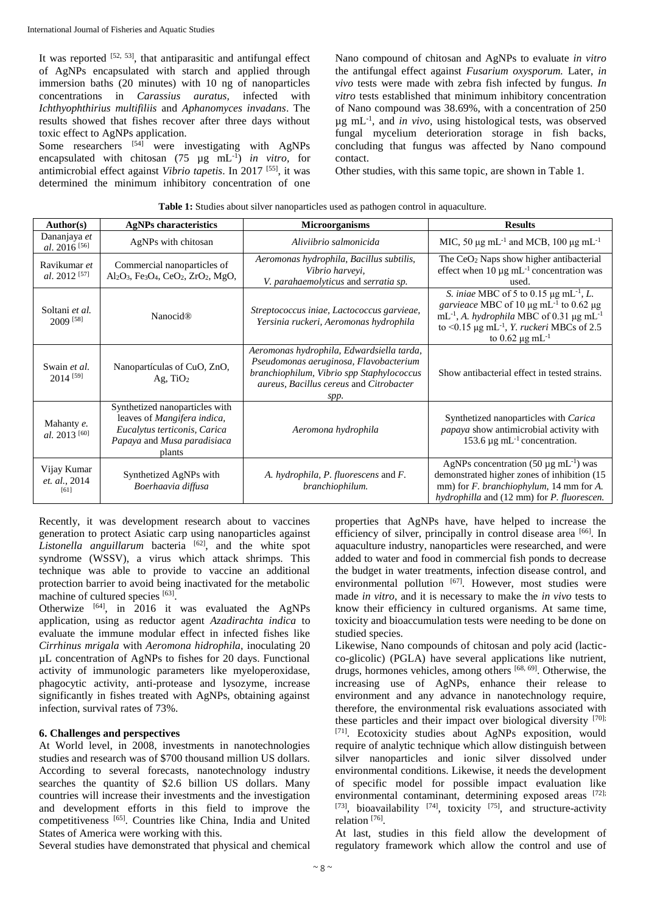It was reported  $[52, 53]$ , that antiparasitic and antifungal effect of AgNPs encapsulated with starch and applied through immersion baths (20 minutes) with 10 ng of nanoparticles concentrations in *Carassius auratus,* infected with *Ichthyophthirius multifiliis* and *Aphanomyces invadans*. The results showed that fishes recover after three days without toxic effect to AgNPs application.

Some researchers  $^{[54]}$  were investigating with AgNPs encapsulated with chitosan (75 µg mL-1 ) *in vitro,* for antimicrobial effect against *Vibrio tapetis*. In 2017 [55], it was determined the minimum inhibitory concentration of one

Nano compound of chitosan and AgNPs to evaluate *in vitro* the antifungal effect against *Fusarium oxysporum.* Later, *in vivo* tests were made with zebra fish infected by fungus. *In vitro* tests established that minimum inhibitory concentration of Nano compound was 38.69%, with a concentration of 250 µg mL-1 , and *in vivo*, using histological tests, was observed fungal mycelium deterioration storage in fish backs, concluding that fungus was affected by Nano compound contact.

Other studies, with this same topic, are shown in Table 1.

| Author(s)                                | <b>AgNPs characteristics</b>                                                                                                                | <b>Microorganisms</b>                                                                                                                                                               | <b>Results</b>                                                                                                                                                                                                                                                                                  |  |
|------------------------------------------|---------------------------------------------------------------------------------------------------------------------------------------------|-------------------------------------------------------------------------------------------------------------------------------------------------------------------------------------|-------------------------------------------------------------------------------------------------------------------------------------------------------------------------------------------------------------------------------------------------------------------------------------------------|--|
| Dananjaya et<br>al. 2016 <sup>[56]</sup> | AgNPs with chitosan                                                                                                                         | Aliviibrio salmonicida                                                                                                                                                              | MIC, 50 $\mu$ g mL <sup>-1</sup> and MCB, 100 $\mu$ g mL <sup>-1</sup>                                                                                                                                                                                                                          |  |
| Ravikumar et<br>al. 2012 <sup>[57]</sup> | Commercial nanoparticles of<br>Al <sub>2</sub> O <sub>3</sub> , Fe <sub>3</sub> O <sub>4</sub> , CeO <sub>2</sub> , ZrO <sub>2</sub> , MgO, | Aeromonas hydrophila, Bacillus subtilis,<br>Vibrio harveyi,<br>V. parahaemolyticus and serratia sp.                                                                                 | The CeO <sub>2</sub> Naps show higher antibacterial<br>effect when $10 \mu g$ mL <sup>-1</sup> concentration was<br>used.                                                                                                                                                                       |  |
| Soltani et al.<br>2009 <sup>[58]</sup>   | <b>Nanocid®</b>                                                                                                                             | Streptococcus iniae, Lactococcus garvieae,<br>Yersinia ruckeri, Aeromonas hydrophila                                                                                                | S. iniae MBC of 5 to 0.15 $\mu$ g mL <sup>-1</sup> , <i>L</i> .<br>garvience MBC of 10 $\mu$ g mL <sup>-1</sup> to 0.62 $\mu$ g<br>$mL^{-1}$ , A. hydrophila MBC of 0.31 µg mL <sup>-1</sup><br>to <0.15 µg mL <sup>-1</sup> , <i>Y. ruckeri</i> MBCs of 2.5<br>to $0.62 \mu g \text{ mL}^{-1}$ |  |
| Swain et al.<br>$2014^{[59]}$            | Nanopartículas of CuO, ZnO,<br>Ag, $TiO2$                                                                                                   | Aeromonas hydrophila, Edwardsiella tarda,<br>Pseudomonas aeruginosa, Flavobacterium<br>branchiophilum, Vibrio spp Staphylococcus<br>aureus, Bacillus cereus and Citrobacter<br>spp. | Show antibacterial effect in tested strains.                                                                                                                                                                                                                                                    |  |
| Mahanty e.<br>al. 2013 <sup>[60]</sup>   | Synthetized nanoparticles with<br>leaves of Mangifera indica,<br>Eucalytus terticonis, Carica<br>Papaya and Musa paradisiaca<br>plants      | Aeromona hydrophila                                                                                                                                                                 | Synthetized nanoparticles with Carica<br>papaya show antimicrobial activity with<br>153.6 $\mu$ g mL <sup>-1</sup> concentration.                                                                                                                                                               |  |
| Vijay Kumar<br>et. al., 2014<br>[61]     | Synthetized AgNPs with<br>Boerhaavia diffusa                                                                                                | A. hydrophila, P. fluorescens and F.<br>branchiophilum.                                                                                                                             | AgNPs concentration $(50 \mu g \text{ mL}^{-1})$ was<br>demonstrated higher zones of inhibition (15<br>mm) for <i>F. branchiophylum</i> , 14 mm for <i>A.</i><br>hydrophilla and (12 mm) for <i>P. fluorescen</i> .                                                                             |  |

|  |  |  | Table 1: Studies about silver nanoparticles used as pathogen control in aquaculture. |
|--|--|--|--------------------------------------------------------------------------------------|
|  |  |  |                                                                                      |

Recently, it was development research about to vaccines generation to protect Asiatic carp using nanoparticles against Listonella anguillarum bacteria <sup>[62]</sup>, and the white spot syndrome (WSSV), a virus which attack shrimps. This technique was able to provide to vaccine an additional protection barrier to avoid being inactivated for the metabolic machine of cultured species [63].

Otherwize [64], in 2016 it was evaluated the AgNPs application, using as reductor agent *Azadirachta indica* to evaluate the immune modular effect in infected fishes like *Cirrhinus mrigala* with *Aeromona hidrophila,* inoculating 20 µL concentration of AgNPs to fishes for 20 days. Functional activity of immunologic parameters like myeloperoxidase, phagocytic activity, anti-protease and lysozyme, increase significantly in fishes treated with AgNPs, obtaining against infection, survival rates of 73%.

## **6. Challenges and perspectives**

At World level, in 2008, investments in nanotechnologies studies and research was of \$700 thousand million US dollars. According to several forecasts, nanotechnology industry searches the quantity of \$2.6 billion US dollars. Many countries will increase their investments and the investigation and development efforts in this field to improve the competitiveness [65]. Countries like China, India and United States of America were working with this.

Several studies have demonstrated that physical and chemical

properties that AgNPs have, have helped to increase the efficiency of silver, principally in control disease area [66]. In aquaculture industry, nanoparticles were researched, and were added to water and food in commercial fish ponds to decrease the budget in water treatments, infection disease control, and environmental pollution [67]. However, most studies were made *in vitro*, and it is necessary to make the *in vivo* tests to know their efficiency in cultured organisms. At same time, toxicity and bioaccumulation tests were needing to be done on studied species.

Likewise, Nano compounds of chitosan and poly acid (lacticco-glicolic) (PGLA) have several applications like nutrient, drugs, hormones vehicles, among others [68, 69]. Otherwise, the increasing use of AgNPs, enhance their release to environment and any advance in nanotechnology require, therefore, the environmental risk evaluations associated with these particles and their impact over biological diversity [70]; [71]. Ecotoxicity studies about AgNPs exposition, would require of analytic technique which allow distinguish between silver nanoparticles and ionic silver dissolved under environmental conditions. Likewise, it needs the development of specific model for possible impact evaluation like environmental contaminant, determining exposed areas [72];  $[73]$ , bioavailability  $[74]$ , toxicity  $[75]$ , and structure-activity relation<sup>[76]</sup>.

At last, studies in this field allow the development of regulatory framework which allow the control and use of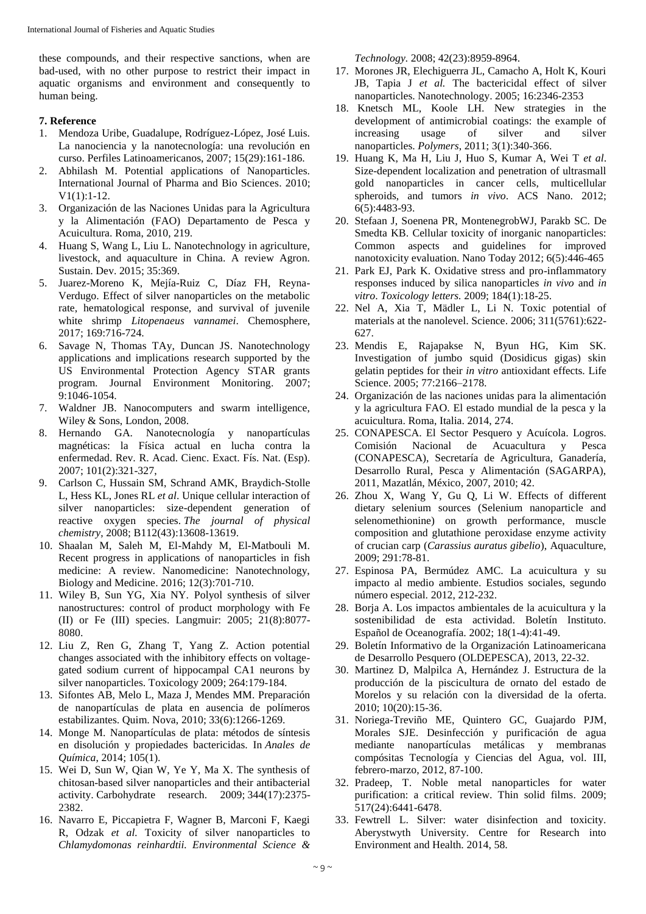these compounds, and their respective sanctions, when are bad-used, with no other purpose to restrict their impact in aquatic organisms and environment and consequently to human being.

## **7. Reference**

- 1. Mendoza Uribe, Guadalupe, Rodríguez-López, José Luis. La nanociencia y la nanotecnología: una revolución en curso. Perfiles Latinoamericanos, 2007; 15(29):161-186.
- 2. Abhilash M. Potential applications of Nanoparticles. International Journal of Pharma and Bio Sciences. 2010; V1(1):1-12.
- 3. Organización de las Naciones Unidas para la Agricultura y la Alimentación (FAO) Departamento de Pesca y Acuicultura. Roma, 2010, 219.
- 4. Huang S, Wang L, Liu L. Nanotechnology in agriculture, livestock, and aquaculture in China. A review Agron. Sustain. Dev. 2015; 35:369.
- 5. Juarez-Moreno K, Mejía-Ruiz C, Díaz FH, Reyna-Verdugo. Effect of silver nanoparticles on the metabolic rate, hematological response, and survival of juvenile white shrimp *Litopenaeus vannamei*. Chemosphere, 2017; 169:716-724.
- 6. Savage N, Thomas TAy, Duncan JS. Nanotechnology applications and implications research supported by the US Environmental Protection Agency STAR grants program. Journal Environment Monitoring. 2007; 9:1046-1054.
- 7. Waldner JB. Nanocomputers and swarm intelligence, Wiley & Sons, London, 2008.
- 8. Hernando GA. Nanotecnología y nanopartículas magnéticas: la Física actual en lucha contra la enfermedad. Rev. R. Acad. Cienc. Exact. Fís. Nat. (Esp). 2007; 101(2):321-327,
- 9. Carlson C, Hussain SM, Schrand AMK, Braydich-Stolle L, Hess KL, Jones RL *et al*. Unique cellular interaction of silver nanoparticles: size-dependent generation of reactive oxygen species. *The journal of physical chemistry*, 2008; B112(43):13608-13619.
- 10. Shaalan M, Saleh M, El-Mahdy M, El-Matbouli M. Recent progress in applications of nanoparticles in fish medicine: A review. Nanomedicine: Nanotechnology, Biology and Medicine. 2016; 12(3):701-710.
- 11. Wiley B, Sun YG, Xia NY. Polyol synthesis of silver nanostructures: control of product morphology with Fe (II) or Fe (III) species. Langmuir: 2005; 21(8):8077- 8080.
- 12. Liu Z, Ren G, Zhang T, Yang Z. Action potential changes associated with the inhibitory effects on voltagegated sodium current of hippocampal CA1 neurons by silver nanoparticles. Toxicology 2009; 264:179-184.
- 13. Sifontes AB, Melo L, Maza J, Mendes MM. Preparación de nanopartículas de plata en ausencia de polímeros estabilizantes. Quim. Nova, 2010; 33(6):1266-1269.
- 14. Monge M. Nanopartículas de plata: métodos de síntesis en disolución y propiedades bactericidas. In *Anales de Química*, 2014; 105(1).
- 15. Wei D, Sun W, Qian W, Ye Y, Ma X. The synthesis of chitosan-based silver nanoparticles and their antibacterial activity. Carbohydrate research. 2009; 344(17):2375- 2382.
- 16. Navarro E, Piccapietra F, Wagner B, Marconi F, Kaegi R, Odzak *et al.* Toxicity of silver nanoparticles to *Chlamydomonas reinhardtii. Environmental Science &*

*Technology.* 2008; 42(23):8959-8964.

- 17. Morones JR, Elechiguerra JL, Camacho A, Holt K, Kouri JB, Tapia J *et al.* The bactericidal effect of silver nanoparticles. Nanotechnology. 2005; 16:2346-2353
- 18. Knetsch ML, Koole LH. New strategies in the development of antimicrobial coatings: the example of increasing usage of silver and silver nanoparticles. *Polymers*, 2011; 3(1):340-366.
- 19. Huang K, Ma H, Liu J, Huo S, Kumar A, Wei T *et al*. Size-dependent localization and penetration of ultrasmall gold nanoparticles in cancer cells, multicellular spheroids, and tumors *in vivo*. ACS Nano. 2012; 6(5):4483-93.
- 20. Stefaan J, Soenena PR, MontenegrobWJ, Parakb SC. De Smedta KB. Cellular toxicity of inorganic nanoparticles: Common aspects and guidelines for improved nanotoxicity evaluation. Nano Today 2012; 6(5):446-465
- 21. Park EJ, Park K. Oxidative stress and pro-inflammatory responses induced by silica nanoparticles *in vivo* and *in vitro*. *Toxicology letters.* 2009; 184(1):18-25.
- 22. Nel A, Xia T, Mädler L, Li N. Toxic potential of materials at the nanolevel. Science. 2006; 311(5761):622- 627.
- 23. Mendis E, Rajapakse N, Byun HG, Kim SK. Investigation of jumbo squid (Dosidicus gigas) skin gelatin peptides for their *in vitro* antioxidant effects. Life Science. 2005; 77:2166–2178.
- 24. Organización de las naciones unidas para la alimentación y la agricultura FAO. El estado mundial de la pesca y la acuicultura. Roma, Italia. 2014, 274.
- 25. CONAPESCA. El Sector Pesquero y Acuícola. Logros. Comisión Nacional de Acuacultura y Pesca (CONAPESCA), Secretaría de Agricultura, Ganadería, Desarrollo Rural, Pesca y Alimentación (SAGARPA), 2011, Mazatlán, México, 2007, 2010; 42.
- 26. Zhou X, Wang Y, Gu Q, Li W. Effects of different dietary selenium sources (Selenium nanoparticle and selenomethionine) on growth performance, muscle composition and glutathione peroxidase enzyme activity of crucian carp (*Carassius auratus gibelio*), Aquaculture, 2009; 291:78-81.
- 27. Espinosa PA, Bermúdez AMC. La acuicultura y su impacto al medio ambiente. Estudios sociales, segundo número especial. 2012, 212-232.
- 28. Borja A. Los impactos ambientales de la acuicultura y la sostenibilidad de esta actividad. Boletín Instituto. Español de Oceanografía. 2002; 18(1-4):41-49.
- 29. Boletín Informativo de la Organización Latinoamericana de Desarrollo Pesquero (OLDEPESCA), 2013, 22-32.
- 30. Martinez D, Malpilca A, Hernández J. Estructura de la producción de la piscicultura de ornato del estado de Morelos y su relación con la diversidad de la oferta. 2010; 10(20):15-36.
- 31. Noriega-Treviño ME, Quintero GC, Guajardo PJM, Morales SJE. Desinfección y purificación de agua mediante nanopartículas metálicas y membranas compósitas Tecnología y Ciencias del Agua, vol. III, febrero-marzo, 2012, 87-100.
- 32. Pradeep, T. Noble metal nanoparticles for water purification: a critical review. Thin solid films. 2009; 517(24):6441-6478.
- 33. Fewtrell L. Silver: water disinfection and toxicity. Aberystwyth University. Centre for Research into Environment and Health. 2014, 58.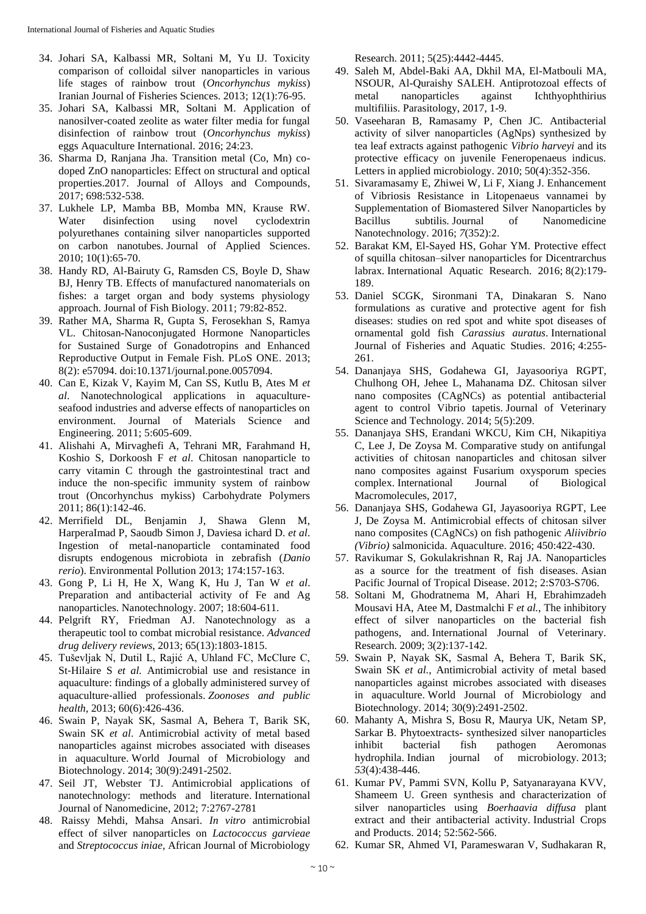- 34. Johari SA, Kalbassi MR, Soltani M, Yu IJ. Toxicity comparison of colloidal silver nanoparticles in various life stages of rainbow trout (*Oncorhynchus mykiss*) Iranian Journal of Fisheries Sciences. 2013; 12(1):76-95.
- 35. Johari SA, Kalbassi MR, Soltani M. Application of nanosilver-coated zeolite as water filter media for fungal disinfection of rainbow trout (*Oncorhynchus mykiss*) eggs Aquaculture International. 2016; 24:23.
- 36. Sharma D, Ranjana Jha. Transition metal (Co, Mn) codoped ZnO nanoparticles: Effect on structural and optical properties.2017. Journal of Alloys and Compounds, 2017; 698:532-538.
- 37. Lukhele LP, Mamba BB, Momba MN, Krause RW. Water disinfection using novel cyclodextrin polyurethanes containing silver nanoparticles supported on carbon nanotubes. Journal of Applied Sciences. 2010; 10(1):65-70.
- 38. Handy RD, Al-Bairuty G, Ramsden CS, Boyle D, Shaw BJ, Henry TB. Effects of manufactured nanomaterials on fishes: a target organ and body systems physiology approach. Journal of Fish Biology. 2011; 79:82-852.
- 39. Rather MA, Sharma R, Gupta S, Ferosekhan S, Ramya VL. Chitosan-Nanoconjugated Hormone Nanoparticles for Sustained Surge of Gonadotropins and Enhanced Reproductive Output in Female Fish. PLoS ONE. 2013; 8(2): e57094. doi:10.1371/journal.pone.0057094.
- 40. Can E, Kizak V, Kayim M, Can SS, Kutlu B, Ates M *et al*. Nanotechnological applications in aquacultureseafood industries and adverse effects of nanoparticles on environment. Journal of Materials Science and Engineering. 2011; 5:605-609.
- 41. Alishahi A, Mirvaghefi A, Tehrani MR, Farahmand H, Koshio S, Dorkoosh F *et al*. Chitosan nanoparticle to carry vitamin C through the gastrointestinal tract and induce the non-specific immunity system of rainbow trout (Oncorhynchus mykiss) Carbohydrate Polymers 2011; 86(1):142-46.
- 42. Merrifield DL, Benjamin J, Shawa Glenn M, HarperaImad P, Saoudb Simon J, Daviesa ichard D. *et al*. Ingestion of metal-nanoparticle contaminated food disrupts endogenous microbiota in zebrafish (*Danio rerio*). Environmental Pollution 2013; 174:157-163.
- 43. Gong P, Li H, He X, Wang K, Hu J, Tan W *et al*. Preparation and antibacterial activity of Fe and Ag nanoparticles. Nanotechnology. 2007; 18:604-611.
- 44. Pelgrift RY, Friedman AJ. Nanotechnology as a therapeutic tool to combat microbial resistance. *Advanced drug delivery reviews*, 2013; 65(13):1803-1815.
- 45. Tuševljak N, Dutil L, Rajić A, Uhland FC, McClure C, St-Hilaire S *et al.* Antimicrobial use and resistance in aquaculture: findings of a globally administered survey of aquaculture‐allied professionals. *Zoonoses and public health*, 2013; 60(6):426-436.
- 46. Swain P, Nayak SK, Sasmal A, Behera T, Barik SK, Swain SK *et al*. Antimicrobial activity of metal based nanoparticles against microbes associated with diseases in aquaculture. World Journal of Microbiology and Biotechnology. 2014; 30(9):2491-2502.
- 47. Seil JT, Webster TJ. Antimicrobial applications of nanotechnology: methods and literature. International Journal of Nanomedicine, 2012; 7:2767-2781
- 48. Raissy Mehdi, Mahsa Ansari. *In vitro* antimicrobial effect of silver nanoparticles on *Lactococcus garvieae* and *Streptococcus iniae*, African Journal of Microbiology

Research. 2011; 5(25):4442-4445.

- 49. Saleh M, Abdel-Baki AA, Dkhil MA, El-Matbouli MA, NSOUR, Al-Quraishy SALEH. Antiprotozoal effects of metal nanoparticles against Ichthyophthirius multifiliis. Parasitology, 2017, 1-9.
- 50. Vaseeharan B, Ramasamy P, Chen JC. Antibacterial activity of silver nanoparticles (AgNps) synthesized by tea leaf extracts against pathogenic *Vibrio harveyi* and its protective efficacy on juvenile Feneropenaeus indicus. Letters in applied microbiology. 2010; 50(4):352-356.
- 51. Sivaramasamy E, Zhiwei W, Li F, Xiang J. Enhancement of Vibriosis Resistance in Litopenaeus vannamei by Supplementation of Biomastered Silver Nanoparticles by Bacillus subtilis. Journal of Nanomedicine Nanotechnology. 2016; *7*(352):2.
- 52. Barakat KM, El-Sayed HS, Gohar YM. Protective effect of squilla chitosan–silver nanoparticles for Dicentrarchus labrax. International Aquatic Research. 2016; 8(2):179- 189.
- 53. Daniel SCGK, Sironmani TA, Dinakaran S. Nano formulations as curative and protective agent for fish diseases: studies on red spot and white spot diseases of ornamental gold fish *Carassius auratus*. International Journal of Fisheries and Aquatic Studies. 2016; 4:255- 261.
- 54. Dananjaya SHS, Godahewa GI, Jayasooriya RGPT, Chulhong OH, Jehee L, Mahanama DZ. Chitosan silver nano composites (CAgNCs) as potential antibacterial agent to control Vibrio tapetis. Journal of Veterinary Science and Technology. 2014; 5(5):209.
- 55. Dananjaya SHS, Erandani WKCU, Kim CH, Nikapitiya C, Lee J, De Zoysa M. Comparative study on antifungal activities of chitosan nanoparticles and chitosan silver nano composites against Fusarium oxysporum species complex. International Journal of Biological Macromolecules, 2017,
- 56. Dananjaya SHS, Godahewa GI, Jayasooriya RGPT, Lee J, De Zoysa M. Antimicrobial effects of chitosan silver nano composites (CAgNCs) on fish pathogenic *Aliivibrio (Vibrio)* salmonicida. Aquaculture. 2016; 450:422-430.
- 57. Ravikumar S, Gokulakrishnan R, Raj JA. Nanoparticles as a source for the treatment of fish diseases. Asian Pacific Journal of Tropical Disease. 2012; 2:S703-S706.
- 58. Soltani M, Ghodratnema M, Ahari H, Ebrahimzadeh Mousavi HA, Atee M, Dastmalchi F *et al.*, The inhibitory effect of silver nanoparticles on the bacterial fish pathogens, and. International Journal of Veterinary. Research. 2009; 3(2):137-142.
- 59. Swain P, Nayak SK, Sasmal A, Behera T, Barik SK, Swain SK et al., Antimicrobial activity of metal based nanoparticles against microbes associated with diseases in aquaculture. World Journal of Microbiology and Biotechnology. 2014; 30(9):2491-2502.
- 60. Mahanty A, Mishra S, Bosu R, Maurya UK, Netam SP, Sarkar B. Phytoextracts- synthesized silver nanoparticles inhibit bacterial fish pathogen Aeromonas hydrophila. Indian journal of microbiology. 2013; *53*(4):438-446.
- 61. Kumar PV, Pammi SVN, Kollu P, Satyanarayana KVV, Shameem U. Green synthesis and characterization of silver nanoparticles using *Boerhaavia diffusa* plant extract and their antibacterial activity. Industrial Crops and Products. 2014; 52:562-566.
- 62. Kumar SR, Ahmed VI, Parameswaran V, Sudhakaran R,